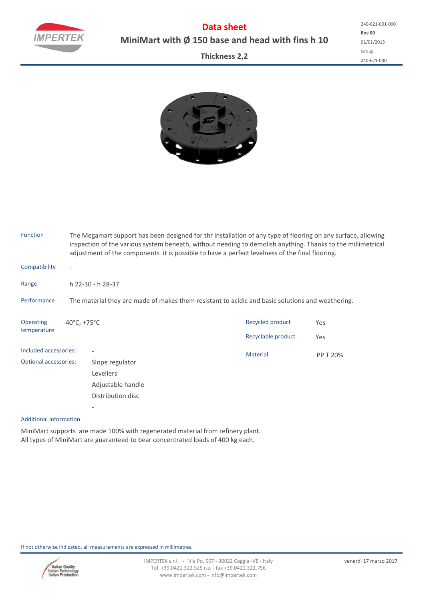

**Data sheet MiniMart with Ø 150 base and head with fins h 10**

**Thickness 2,2**



| Function                     |                                                                                                  | The Megamart support has been designed for thr installation of any type of flooring on any surface, allowing<br>inspection of the various system beneath, without needing to demolish anything. Thanks to the millimetrical<br>adjustment of the components it is possible to have a perfect levelness of the final flooring. |                    |          |  |  |  |  |  |  |
|------------------------------|--------------------------------------------------------------------------------------------------|-------------------------------------------------------------------------------------------------------------------------------------------------------------------------------------------------------------------------------------------------------------------------------------------------------------------------------|--------------------|----------|--|--|--|--|--|--|
| Compatibility                | $\overline{\phantom{a}}$                                                                         |                                                                                                                                                                                                                                                                                                                               |                    |          |  |  |  |  |  |  |
| Range                        |                                                                                                  | h 22-30 - h 28-37                                                                                                                                                                                                                                                                                                             |                    |          |  |  |  |  |  |  |
| Performance                  | The material they are made of makes them resistant to acidic and basic solutions and weathering. |                                                                                                                                                                                                                                                                                                                               |                    |          |  |  |  |  |  |  |
| Operating<br>temperature     | $-40^{\circ}$ C; +75 $^{\circ}$ C                                                                |                                                                                                                                                                                                                                                                                                                               | Recycled product   | Yes      |  |  |  |  |  |  |
|                              |                                                                                                  |                                                                                                                                                                                                                                                                                                                               | Recyclable product | Yes      |  |  |  |  |  |  |
| Included accessories:        |                                                                                                  |                                                                                                                                                                                                                                                                                                                               | <b>Material</b>    | PP T 20% |  |  |  |  |  |  |
| <b>Optional accessories:</b> |                                                                                                  | Slope regulator                                                                                                                                                                                                                                                                                                               |                    |          |  |  |  |  |  |  |
|                              |                                                                                                  | Levellers                                                                                                                                                                                                                                                                                                                     |                    |          |  |  |  |  |  |  |
|                              |                                                                                                  | Adjustable handle                                                                                                                                                                                                                                                                                                             |                    |          |  |  |  |  |  |  |
|                              |                                                                                                  | Distribution disc                                                                                                                                                                                                                                                                                                             |                    |          |  |  |  |  |  |  |

## Additional information

MiniMart supports are made 100% with regenerated material from refinery plant. All types of MiniMart are guaranteed to bear concentrated loads of 400 kg each.

If not otherwise indicated, all measurements are expressed in millimetres.

‐